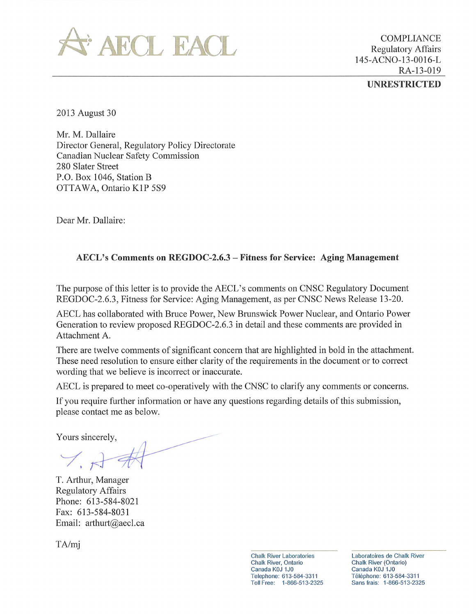

**COMPLIANCE Regulatory Affairs** 145-ACNO-13-0016-L RA-13-019 **UNRESTRICTED** 

2013 August 30

Mr. M. Dallaire Director General, Regulatory Policy Directorate Canadian Nuclear Safety Commission 280 Slater Street P.O. Box 1046, Station B OTTAWA, Ontario K1P 5S9

Dear Mr. Dallaire:

## AECL's Comments on REGDOC-2.6.3 – Fitness for Service: Aging Management

The purpose of this letter is to provide the AECL's comments on CNSC Regulatory Document REGDOC-2.6.3, Fitness for Service: Aging Management, as per CNSC News Release 13-20.

AECL has collaborated with Bruce Power, New Brunswick Power Nuclear, and Ontario Power Generation to review proposed REGDOC-2.6.3 in detail and these comments are provided in Attachment A.

There are twelve comments of significant concern that are highlighted in bold in the attachment. These need resolution to ensure either clarity of the requirements in the document or to correct wording that we believe is incorrect or inaccurate.

AECL is prepared to meet co-operatively with the CNSC to clarify any comments or concerns.

If you require further information or have any questions regarding details of this submission, please contact me as below.

Yours sincerely,

T. Arthur, Manager **Regulatory Affairs** Phone: 613-584-8021 Fax: 613-584-8031 Email: arthurt@aecl.ca

 $TA/mj$ 

**Chalk River Laboratories Chalk River, Ontario** Canada K0J 1J0 Telephone: 613-584-3311 Toll Free: 1-866-513-2325 Laboratoires de Chalk River **Chalk River (Ontario)** Canada K0J 1J0 Téléphone: 613-584-3311 Sans frais: 1-866-513-2325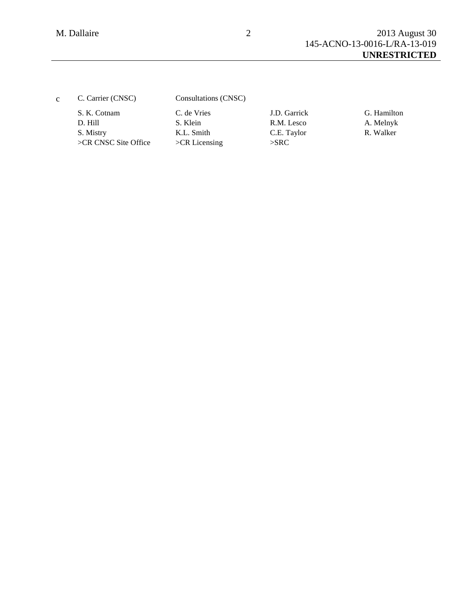| $\mathbf{c}$ | C. Carrier (CNSC)                   | Consultations (CNSC)          |                            |                          |
|--------------|-------------------------------------|-------------------------------|----------------------------|--------------------------|
|              | S. K. Cotnam<br>D. Hill             | C. de Vries<br>S. Klein       | J.D. Garrick<br>R.M. Lesco | G. Hamilton<br>A. Melnyk |
|              | S. Mistry<br>$>CR$ CNSC Site Office | K.L. Smith<br>$>CR$ Licensing | C.E. Taylor<br>$>$ SRC     | R. Walker                |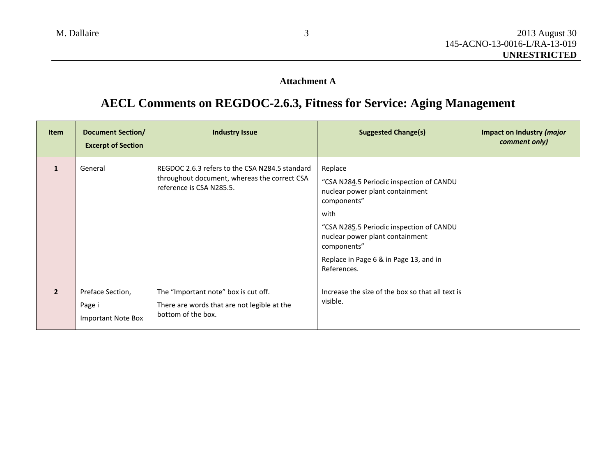## **Attachment A**

## **AECL Comments on REGDOC-2.6.3, Fitness for Service: Aging Management**

| <b>Item</b>             | <b>Document Section/</b><br><b>Excerpt of Section</b> | <b>Industry Issue</b>                                                                                                      | <b>Suggested Change(s)</b>                                                                                                                                                                                                                                           | Impact on Industry ( <i>major</i><br>comment only) |
|-------------------------|-------------------------------------------------------|----------------------------------------------------------------------------------------------------------------------------|----------------------------------------------------------------------------------------------------------------------------------------------------------------------------------------------------------------------------------------------------------------------|----------------------------------------------------|
|                         | General                                               | REGDOC 2.6.3 refers to the CSA N284.5 standard<br>throughout document, whereas the correct CSA<br>reference is CSA N285.5. | Replace<br>"CSA N284.5 Periodic inspection of CANDU<br>nuclear power plant containment<br>components"<br>with<br>"CSA N285.5 Periodic inspection of CANDU<br>nuclear power plant containment<br>components"<br>Replace in Page 6 & in Page 13, and in<br>References. |                                                    |
| $\overline{\mathbf{z}}$ | Preface Section,<br>Page i<br>Important Note Box      | The "Important note" box is cut off.<br>There are words that are not legible at the<br>bottom of the box.                  | Increase the size of the box so that all text is<br>visible.                                                                                                                                                                                                         |                                                    |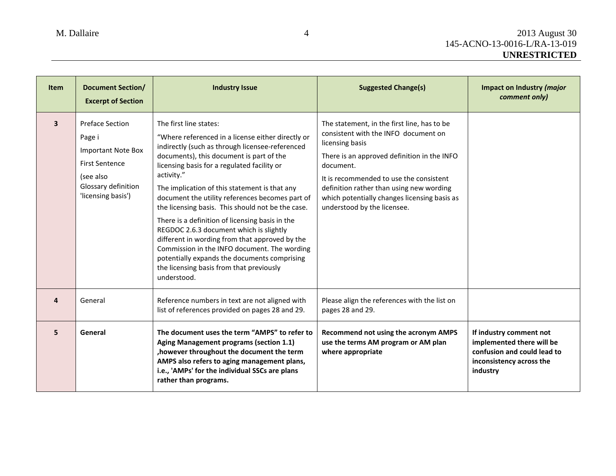| <b>Item</b>             | <b>Document Section/</b><br><b>Excerpt of Section</b>                                                                                            | <b>Industry Issue</b>                                                                                                                                                                                                                                                                                                                                                                                                                                                                                                                                                                                                                                                                                       | <b>Suggested Change(s)</b>                                                                                                                                                                                                                                                                                                               | Impact on Industry (major<br>comment only)                                                                                  |
|-------------------------|--------------------------------------------------------------------------------------------------------------------------------------------------|-------------------------------------------------------------------------------------------------------------------------------------------------------------------------------------------------------------------------------------------------------------------------------------------------------------------------------------------------------------------------------------------------------------------------------------------------------------------------------------------------------------------------------------------------------------------------------------------------------------------------------------------------------------------------------------------------------------|------------------------------------------------------------------------------------------------------------------------------------------------------------------------------------------------------------------------------------------------------------------------------------------------------------------------------------------|-----------------------------------------------------------------------------------------------------------------------------|
| $\overline{\mathbf{3}}$ | <b>Preface Section</b><br>Page i<br><b>Important Note Box</b><br><b>First Sentence</b><br>(see also<br>Glossary definition<br>'licensing basis') | The first line states:<br>"Where referenced in a license either directly or<br>indirectly (such as through licensee-referenced<br>documents), this document is part of the<br>licensing basis for a regulated facility or<br>activity."<br>The implication of this statement is that any<br>document the utility references becomes part of<br>the licensing basis. This should not be the case.<br>There is a definition of licensing basis in the<br>REGDOC 2.6.3 document which is slightly<br>different in wording from that approved by the<br>Commission in the INFO document. The wording<br>potentially expands the documents comprising<br>the licensing basis from that previously<br>understood. | The statement, in the first line, has to be<br>consistent with the INFO document on<br>licensing basis<br>There is an approved definition in the INFO<br>document.<br>It is recommended to use the consistent<br>definition rather than using new wording<br>which potentially changes licensing basis as<br>understood by the licensee. |                                                                                                                             |
| 4                       | General                                                                                                                                          | Reference numbers in text are not aligned with<br>list of references provided on pages 28 and 29.                                                                                                                                                                                                                                                                                                                                                                                                                                                                                                                                                                                                           | Please align the references with the list on<br>pages 28 and 29.                                                                                                                                                                                                                                                                         |                                                                                                                             |
| 5                       | General                                                                                                                                          | The document uses the term "AMPS" to refer to<br>Aging Management programs (section 1.1)<br>, however throughout the document the term<br>AMPS also refers to aging management plans,<br>i.e., 'AMPs' for the individual SSCs are plans<br>rather than programs.                                                                                                                                                                                                                                                                                                                                                                                                                                            | Recommend not using the acronym AMPS<br>use the terms AM program or AM plan<br>where appropriate                                                                                                                                                                                                                                         | If industry comment not<br>implemented there will be<br>confusion and could lead to<br>inconsistency across the<br>industry |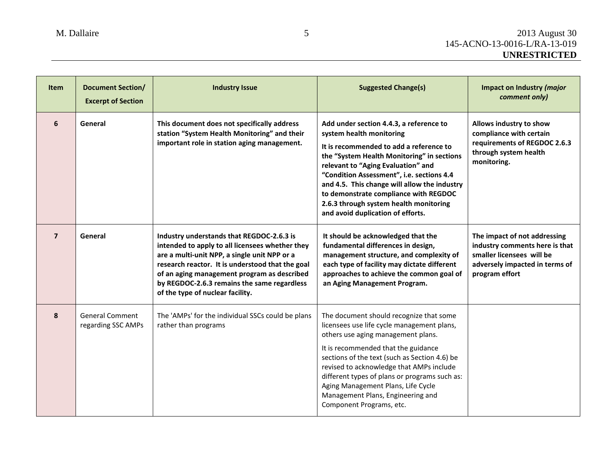| <b>Item</b>    | <b>Document Section/</b><br><b>Excerpt of Section</b> | <b>Industry Issue</b>                                                                                                                                                                                                                                                                                                              | <b>Suggested Change(s)</b>                                                                                                                                                                                                                                                                                                                                                                                              | <b>Impact on Industry (major</b><br>comment only)                                                                                               |
|----------------|-------------------------------------------------------|------------------------------------------------------------------------------------------------------------------------------------------------------------------------------------------------------------------------------------------------------------------------------------------------------------------------------------|-------------------------------------------------------------------------------------------------------------------------------------------------------------------------------------------------------------------------------------------------------------------------------------------------------------------------------------------------------------------------------------------------------------------------|-------------------------------------------------------------------------------------------------------------------------------------------------|
| 6              | General                                               | This document does not specifically address<br>station "System Health Monitoring" and their<br>important role in station aging management.                                                                                                                                                                                         | Add under section 4.4.3, a reference to<br>system health monitoring<br>It is recommended to add a reference to<br>the "System Health Monitoring" in sections<br>relevant to "Aging Evaluation" and<br>"Condition Assessment", i.e. sections 4.4<br>and 4.5. This change will allow the industry<br>to demonstrate compliance with REGDOC<br>2.6.3 through system health monitoring<br>and avoid duplication of efforts. | Allows industry to show<br>compliance with certain<br>requirements of REGDOC 2.6.3<br>through system health<br>monitoring.                      |
| $\overline{7}$ | General                                               | Industry understands that REGDOC-2.6.3 is<br>intended to apply to all licensees whether they<br>are a multi-unit NPP, a single unit NPP or a<br>research reactor. It is understood that the goal<br>of an aging management program as described<br>by REGDOC-2.6.3 remains the same regardless<br>of the type of nuclear facility. | It should be acknowledged that the<br>fundamental differences in design,<br>management structure, and complexity of<br>each type of facility may dictate different<br>approaches to achieve the common goal of<br>an Aging Management Program.                                                                                                                                                                          | The impact of not addressing<br>industry comments here is that<br>smaller licensees will be<br>adversely impacted in terms of<br>program effort |
| 8              | <b>General Comment</b><br>regarding SSC AMPs          | The 'AMPs' for the individual SSCs could be plans<br>rather than programs                                                                                                                                                                                                                                                          | The document should recognize that some<br>licensees use life cycle management plans,<br>others use aging management plans.<br>It is recommended that the guidance<br>sections of the text (such as Section 4.6) be<br>revised to acknowledge that AMPs include<br>different types of plans or programs such as:<br>Aging Management Plans, Life Cycle<br>Management Plans, Engineering and<br>Component Programs, etc. |                                                                                                                                                 |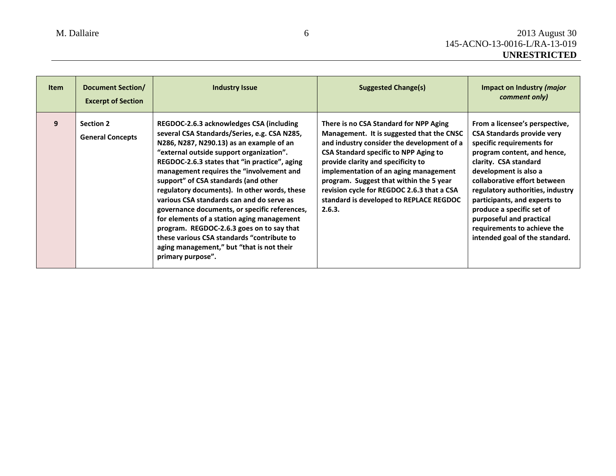| <b>Item</b> | Document Section/<br><b>Excerpt of Section</b> | <b>Industry Issue</b>                                                                                                                                                                                                                                                                                                                                                                                                                                                                                                                                                                                                                                                          | <b>Suggested Change(s)</b>                                                                                                                                                                                                                                                                                                                                                                                     | Impact on Industry (major<br>comment only)                                                                                                                                                                                                                                                                                                                                                                      |
|-------------|------------------------------------------------|--------------------------------------------------------------------------------------------------------------------------------------------------------------------------------------------------------------------------------------------------------------------------------------------------------------------------------------------------------------------------------------------------------------------------------------------------------------------------------------------------------------------------------------------------------------------------------------------------------------------------------------------------------------------------------|----------------------------------------------------------------------------------------------------------------------------------------------------------------------------------------------------------------------------------------------------------------------------------------------------------------------------------------------------------------------------------------------------------------|-----------------------------------------------------------------------------------------------------------------------------------------------------------------------------------------------------------------------------------------------------------------------------------------------------------------------------------------------------------------------------------------------------------------|
| 9           | <b>Section 2</b><br><b>General Concepts</b>    | REGDOC-2.6.3 acknowledges CSA (including<br>several CSA Standards/Series, e.g. CSA N285,<br>N286, N287, N290.13) as an example of an<br>"external outside support organization".<br>REGDOC-2.6.3 states that "in practice", aging<br>management requires the "involvement and<br>support" of CSA standards (and other<br>regulatory documents). In other words, these<br>various CSA standards can and do serve as<br>governance documents, or specific references,<br>for elements of a station aging management<br>program. REGDOC-2.6.3 goes on to say that<br>these various CSA standards "contribute to<br>aging management," but "that is not their<br>primary purpose". | There is no CSA Standard for NPP Aging<br>Management. It is suggested that the CNSC<br>and industry consider the development of a<br><b>CSA Standard specific to NPP Aging to</b><br>provide clarity and specificity to<br>implementation of an aging management<br>program. Suggest that within the 5 year<br>revision cycle for REGDOC 2.6.3 that a CSA<br>standard is developed to REPLACE REGDOC<br>2.6.3. | From a licensee's perspective,<br><b>CSA Standards provide very</b><br>specific requirements for<br>program content, and hence,<br>clarity. CSA standard<br>development is also a<br>collaborative effort between<br>regulatory authorities, industry<br>participants, and experts to<br>produce a specific set of<br>purposeful and practical<br>requirements to achieve the<br>intended goal of the standard. |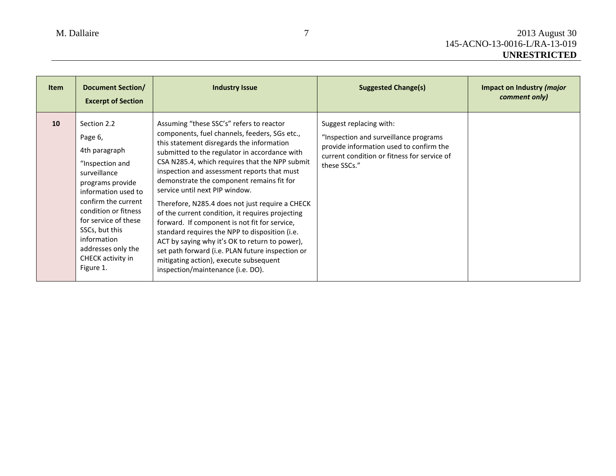| <b>Item</b> | <b>Document Section/</b><br><b>Excerpt of Section</b>                                                                                                                                                                                                                                 | <b>Industry Issue</b>                                                                                                                                                                                                                                                                                                                                                                                                                                                                                                                                                                                                                                                                                                                                                  | <b>Suggested Change(s)</b>                                                                                                                                                 | Impact on Industry (major<br>comment only) |
|-------------|---------------------------------------------------------------------------------------------------------------------------------------------------------------------------------------------------------------------------------------------------------------------------------------|------------------------------------------------------------------------------------------------------------------------------------------------------------------------------------------------------------------------------------------------------------------------------------------------------------------------------------------------------------------------------------------------------------------------------------------------------------------------------------------------------------------------------------------------------------------------------------------------------------------------------------------------------------------------------------------------------------------------------------------------------------------------|----------------------------------------------------------------------------------------------------------------------------------------------------------------------------|--------------------------------------------|
| 10          | Section 2.2<br>Page 6,<br>4th paragraph<br>"Inspection and<br>surveillance<br>programs provide<br>information used to<br>confirm the current<br>condition or fitness<br>for service of these<br>SSCs, but this<br>information<br>addresses only the<br>CHECK activity in<br>Figure 1. | Assuming "these SSC's" refers to reactor<br>components, fuel channels, feeders, SGs etc.,<br>this statement disregards the information<br>submitted to the regulator in accordance with<br>CSA N285.4, which requires that the NPP submit<br>inspection and assessment reports that must<br>demonstrate the component remains fit for<br>service until next PIP window.<br>Therefore, N285.4 does not just require a CHECK<br>of the current condition, it requires projecting<br>forward. If component is not fit for service,<br>standard requires the NPP to disposition (i.e.<br>ACT by saying why it's OK to return to power),<br>set path forward (i.e. PLAN future inspection or<br>mitigating action), execute subsequent<br>inspection/maintenance (i.e. DO). | Suggest replacing with:<br>"Inspection and surveillance programs<br>provide information used to confirm the<br>current condition or fitness for service of<br>these SSCs." |                                            |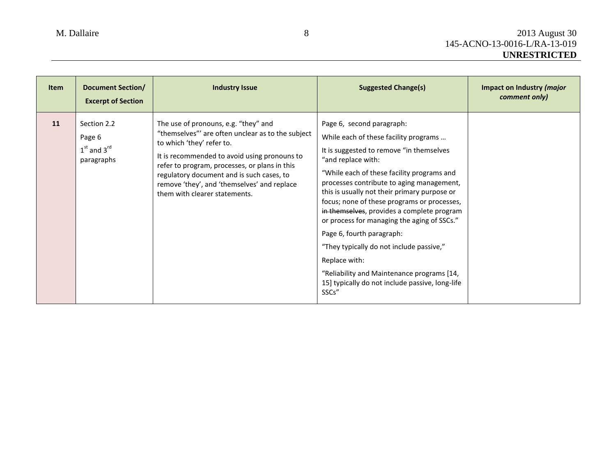| <b>Item</b> | <b>Document Section/</b><br><b>Excerpt of Section</b>  | <b>Industry Issue</b>                                                                                                                                                                                                                                                                                                                                | <b>Suggested Change(s)</b>                                                                                                                                                                                                                                                                                                                                                                                                                                                                                                                                                                                                      | Impact on Industry ( <i>major</i><br>comment only) |
|-------------|--------------------------------------------------------|------------------------------------------------------------------------------------------------------------------------------------------------------------------------------------------------------------------------------------------------------------------------------------------------------------------------------------------------------|---------------------------------------------------------------------------------------------------------------------------------------------------------------------------------------------------------------------------------------------------------------------------------------------------------------------------------------------------------------------------------------------------------------------------------------------------------------------------------------------------------------------------------------------------------------------------------------------------------------------------------|----------------------------------------------------|
| 11          | Section 2.2<br>Page 6<br>$1st$ and $3rd$<br>paragraphs | The use of pronouns, e.g. "they" and<br>"themselves"' are often unclear as to the subject<br>to which 'they' refer to.<br>It is recommended to avoid using pronouns to<br>refer to program, processes, or plans in this<br>regulatory document and is such cases, to<br>remove 'they', and 'themselves' and replace<br>them with clearer statements. | Page 6, second paragraph:<br>While each of these facility programs<br>It is suggested to remove "in themselves<br>"and replace with:<br>"While each of these facility programs and<br>processes contribute to aging management,<br>this is usually not their primary purpose or<br>focus; none of these programs or processes,<br>in themselves, provides a complete program<br>or process for managing the aging of SSCs."<br>Page 6, fourth paragraph:<br>"They typically do not include passive,"<br>Replace with:<br>"Reliability and Maintenance programs [14,<br>15] typically do not include passive, long-life<br>SSCs" |                                                    |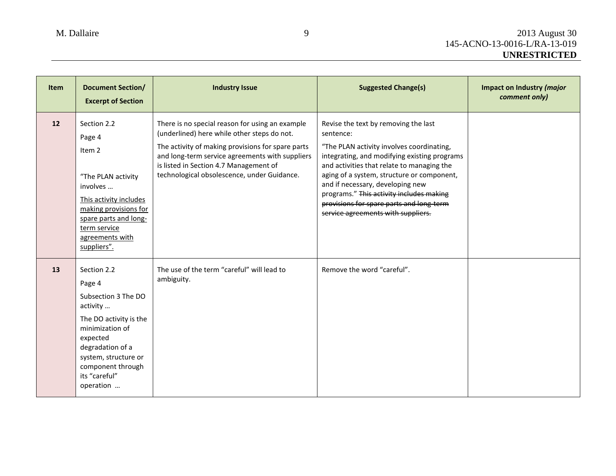| <b>Item</b> | <b>Document Section/</b><br><b>Excerpt of Section</b>                                                                                                                                                            | <b>Industry Issue</b>                                                                                                                                                                                                                                                                           | <b>Suggested Change(s)</b>                                                                                                                                                                                                                                                                                                                                                                                   | Impact on Industry (major<br>comment only) |
|-------------|------------------------------------------------------------------------------------------------------------------------------------------------------------------------------------------------------------------|-------------------------------------------------------------------------------------------------------------------------------------------------------------------------------------------------------------------------------------------------------------------------------------------------|--------------------------------------------------------------------------------------------------------------------------------------------------------------------------------------------------------------------------------------------------------------------------------------------------------------------------------------------------------------------------------------------------------------|--------------------------------------------|
| 12          | Section 2.2<br>Page 4<br>Item <sub>2</sub><br>"The PLAN activity<br>involves<br>This activity includes<br>making provisions for<br>spare parts and long-<br>term service<br>agreements with<br>suppliers".       | There is no special reason for using an example<br>(underlined) here while other steps do not.<br>The activity of making provisions for spare parts<br>and long-term service agreements with suppliers<br>is listed in Section 4.7 Management of<br>technological obsolescence, under Guidance. | Revise the text by removing the last<br>sentence:<br>"The PLAN activity involves coordinating,<br>integrating, and modifying existing programs<br>and activities that relate to managing the<br>aging of a system, structure or component,<br>and if necessary, developing new<br>programs." This activity includes making<br>provisions for spare parts and long-term<br>service agreements with suppliers. |                                            |
| 13          | Section 2.2<br>Page 4<br>Subsection 3 The DO<br>activity<br>The DO activity is the<br>minimization of<br>expected<br>degradation of a<br>system, structure or<br>component through<br>its "careful"<br>operation | The use of the term "careful" will lead to<br>ambiguity.                                                                                                                                                                                                                                        | Remove the word "careful".                                                                                                                                                                                                                                                                                                                                                                                   |                                            |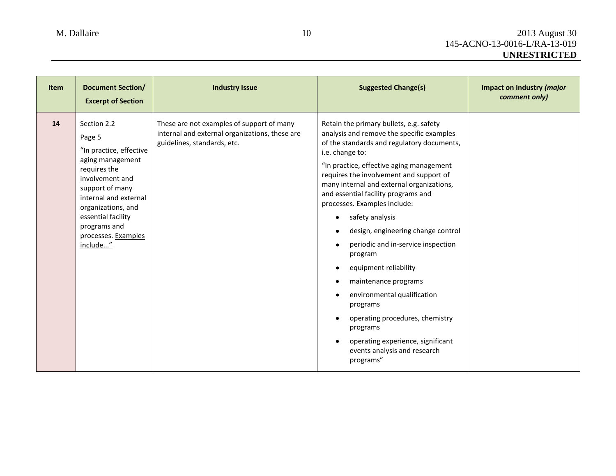| <b>Item</b> | <b>Document Section/</b><br><b>Excerpt of Section</b>                                                                                                                                                                                              | <b>Industry Issue</b>                                                                                                      | <b>Suggested Change(s)</b>                                                                                                                                                                                                                                                                                                                                                                                                                                                                                                                                                                                                                                                                                                                                                                              | Impact on Industry (major<br>comment only) |
|-------------|----------------------------------------------------------------------------------------------------------------------------------------------------------------------------------------------------------------------------------------------------|----------------------------------------------------------------------------------------------------------------------------|---------------------------------------------------------------------------------------------------------------------------------------------------------------------------------------------------------------------------------------------------------------------------------------------------------------------------------------------------------------------------------------------------------------------------------------------------------------------------------------------------------------------------------------------------------------------------------------------------------------------------------------------------------------------------------------------------------------------------------------------------------------------------------------------------------|--------------------------------------------|
| 14          | Section 2.2<br>Page 5<br>"In practice, effective<br>aging management<br>requires the<br>involvement and<br>support of many<br>internal and external<br>organizations, and<br>essential facility<br>programs and<br>processes. Examples<br>include" | These are not examples of support of many<br>internal and external organizations, these are<br>guidelines, standards, etc. | Retain the primary bullets, e.g. safety<br>analysis and remove the specific examples<br>of the standards and regulatory documents,<br>i.e. change to:<br>"In practice, effective aging management<br>requires the involvement and support of<br>many internal and external organizations,<br>and essential facility programs and<br>processes. Examples include:<br>safety analysis<br>٠<br>design, engineering change control<br>$\bullet$<br>periodic and in-service inspection<br>$\bullet$<br>program<br>equipment reliability<br>$\bullet$<br>maintenance programs<br>$\bullet$<br>environmental qualification<br>$\bullet$<br>programs<br>operating procedures, chemistry<br>$\bullet$<br>programs<br>operating experience, significant<br>$\bullet$<br>events analysis and research<br>programs" |                                            |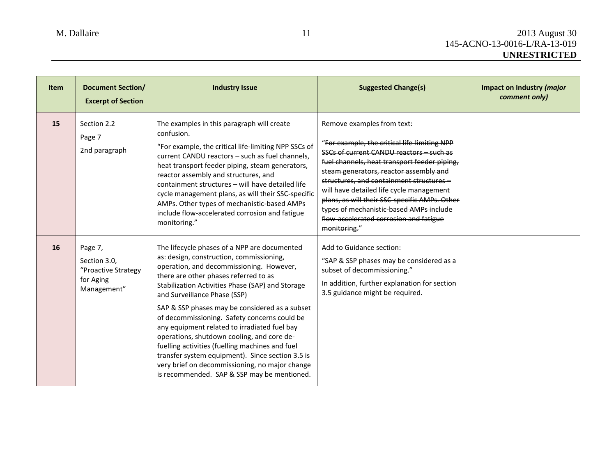| <b>Item</b> | <b>Document Section/</b><br><b>Excerpt of Section</b>                      | <b>Industry Issue</b>                                                                                                                                                                                                                                                                                                                                                                                                                                                                                                                                                                                                                                                     | <b>Suggested Change(s)</b>                                                                                                                                                                                                                                                                                                                                                                                                                                    | Impact on Industry (major<br>comment only) |
|-------------|----------------------------------------------------------------------------|---------------------------------------------------------------------------------------------------------------------------------------------------------------------------------------------------------------------------------------------------------------------------------------------------------------------------------------------------------------------------------------------------------------------------------------------------------------------------------------------------------------------------------------------------------------------------------------------------------------------------------------------------------------------------|---------------------------------------------------------------------------------------------------------------------------------------------------------------------------------------------------------------------------------------------------------------------------------------------------------------------------------------------------------------------------------------------------------------------------------------------------------------|--------------------------------------------|
| 15          | Section 2.2<br>Page 7<br>2nd paragraph                                     | The examples in this paragraph will create<br>confusion.<br>"For example, the critical life-limiting NPP SSCs of<br>current CANDU reactors - such as fuel channels,<br>heat transport feeder piping, steam generators,<br>reactor assembly and structures, and<br>containment structures - will have detailed life<br>cycle management plans, as will their SSC-specific<br>AMPs. Other types of mechanistic-based AMPs<br>include flow-accelerated corrosion and fatigue<br>monitoring."                                                                                                                                                                                 | Remove examples from text:<br>"For example, the critical life-limiting NPP<br>SSCs of current CANDU reactors - such as<br>fuel channels, heat transport feeder piping,<br>steam generators, reactor assembly and<br>structures, and containment structures-<br>will have detailed life cycle management<br>plans, as will their SSC-specific AMPs. Other<br>types of mechanistic-based AMPs include<br>flow-accelerated corrosion and fatigue<br>monitoring." |                                            |
| 16          | Page 7,<br>Section 3.0,<br>"Proactive Strategy<br>for Aging<br>Management" | The lifecycle phases of a NPP are documented<br>as: design, construction, commissioning,<br>operation, and decommissioning. However,<br>there are other phases referred to as<br>Stabilization Activities Phase (SAP) and Storage<br>and Surveillance Phase (SSP)<br>SAP & SSP phases may be considered as a subset<br>of decommissioning. Safety concerns could be<br>any equipment related to irradiated fuel bay<br>operations, shutdown cooling, and core de-<br>fuelling activities (fuelling machines and fuel<br>transfer system equipment). Since section 3.5 is<br>very brief on decommissioning, no major change<br>is recommended. SAP & SSP may be mentioned. | Add to Guidance section:<br>"SAP & SSP phases may be considered as a<br>subset of decommissioning."<br>In addition, further explanation for section<br>3.5 guidance might be required.                                                                                                                                                                                                                                                                        |                                            |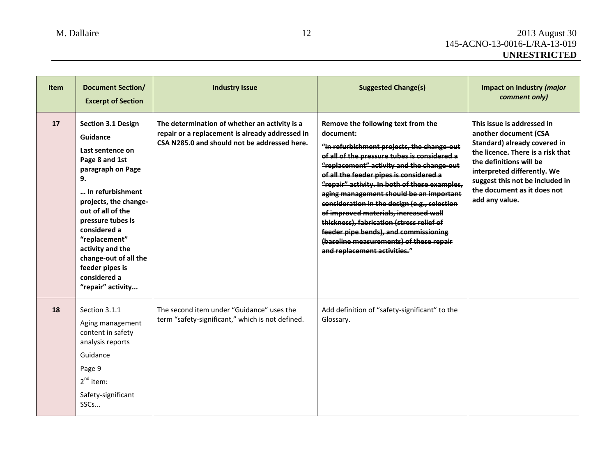| <b>Item</b> | <b>Document Section/</b><br><b>Excerpt of Section</b>                                                                                                                                                                                                                                                                               | <b>Industry Issue</b>                                                                                                                            | <b>Suggested Change(s)</b>                                                                                                                                                                                                                                                                                                                                                                                                                                                                                                                                                                  | Impact on Industry (major<br>comment only)                                                                                                                                                                                                                             |
|-------------|-------------------------------------------------------------------------------------------------------------------------------------------------------------------------------------------------------------------------------------------------------------------------------------------------------------------------------------|--------------------------------------------------------------------------------------------------------------------------------------------------|---------------------------------------------------------------------------------------------------------------------------------------------------------------------------------------------------------------------------------------------------------------------------------------------------------------------------------------------------------------------------------------------------------------------------------------------------------------------------------------------------------------------------------------------------------------------------------------------|------------------------------------------------------------------------------------------------------------------------------------------------------------------------------------------------------------------------------------------------------------------------|
| 17          | <b>Section 3.1 Design</b><br>Guidance<br>Last sentence on<br>Page 8 and 1st<br>paragraph on Page<br>9.<br>In refurbishment<br>projects, the change-<br>out of all of the<br>pressure tubes is<br>considered a<br>"replacement"<br>activity and the<br>change-out of all the<br>feeder pipes is<br>considered a<br>"repair" activity | The determination of whether an activity is a<br>repair or a replacement is already addressed in<br>CSA N285.0 and should not be addressed here. | Remove the following text from the<br>document:<br>"In refurbishment projects, the change-out<br>of all of the pressure tubes is considered a<br>"replacement" activity and the change-out<br>of all the feeder pipes is considered a<br>"repair" activity. In both of these examples,<br>aging management should be an important<br>consideration in the design (e.g., selection<br>of improved materials, increased wall<br>thickness), fabrication (stress relief of<br>feeder pipe bends), and commissioning<br>(baseline measurements) of these repair<br>and replacement activities." | This issue is addressed in<br>another document (CSA<br>Standard) already covered in<br>the licence. There is a risk that<br>the definitions will be<br>interpreted differently. We<br>suggest this not be included in<br>the document as it does not<br>add any value. |
| 18          | Section 3.1.1<br>Aging management<br>content in safety<br>analysis reports<br>Guidance<br>Page 9<br>$2nd$ item:<br>Safety-significant<br>SSC <sub>s</sub>                                                                                                                                                                           | The second item under "Guidance" uses the<br>term "safety-significant," which is not defined.                                                    | Add definition of "safety-significant" to the<br>Glossary.                                                                                                                                                                                                                                                                                                                                                                                                                                                                                                                                  |                                                                                                                                                                                                                                                                        |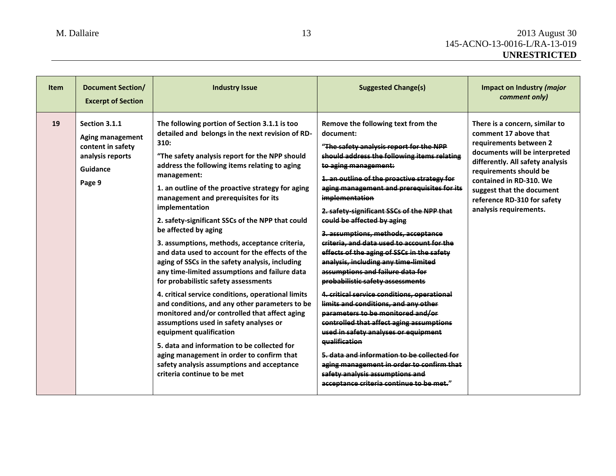| <b>Item</b> | <b>Document Section/</b><br><b>Excerpt of Section</b>                                                   | <b>Industry Issue</b>                                                                                                                                                                                                                                                                                                                                                                                                                                                                                                                                                                                                                                                                                                                                                                                                                                                                                                                                                                                                                                                         | <b>Suggested Change(s)</b>                                                                                                                                                                                                                                                                                                                                                                                                                                                                                                                                                                                                                                                                                                                                                                                                                                                                                                                                                                                                  | Impact on Industry (major<br>comment only)                                                                                                                                                                                                                                                        |
|-------------|---------------------------------------------------------------------------------------------------------|-------------------------------------------------------------------------------------------------------------------------------------------------------------------------------------------------------------------------------------------------------------------------------------------------------------------------------------------------------------------------------------------------------------------------------------------------------------------------------------------------------------------------------------------------------------------------------------------------------------------------------------------------------------------------------------------------------------------------------------------------------------------------------------------------------------------------------------------------------------------------------------------------------------------------------------------------------------------------------------------------------------------------------------------------------------------------------|-----------------------------------------------------------------------------------------------------------------------------------------------------------------------------------------------------------------------------------------------------------------------------------------------------------------------------------------------------------------------------------------------------------------------------------------------------------------------------------------------------------------------------------------------------------------------------------------------------------------------------------------------------------------------------------------------------------------------------------------------------------------------------------------------------------------------------------------------------------------------------------------------------------------------------------------------------------------------------------------------------------------------------|---------------------------------------------------------------------------------------------------------------------------------------------------------------------------------------------------------------------------------------------------------------------------------------------------|
| 19          | Section 3.1.1<br><b>Aging management</b><br>content in safety<br>analysis reports<br>Guidance<br>Page 9 | The following portion of Section 3.1.1 is too<br>detailed and belongs in the next revision of RD-<br>310:<br>"The safety analysis report for the NPP should<br>address the following items relating to aging<br>management:<br>1. an outline of the proactive strategy for aging<br>management and prerequisites for its<br>implementation<br>2. safety-significant SSCs of the NPP that could<br>be affected by aging<br>3. assumptions, methods, acceptance criteria,<br>and data used to account for the effects of the<br>aging of SSCs in the safety analysis, including<br>any time-limited assumptions and failure data<br>for probabilistic safety assessments<br>4. critical service conditions, operational limits<br>and conditions, and any other parameters to be<br>monitored and/or controlled that affect aging<br>assumptions used in safety analyses or<br>equipment qualification<br>5. data and information to be collected for<br>aging management in order to confirm that<br>safety analysis assumptions and acceptance<br>criteria continue to be met | Remove the following text from the<br>document:<br>"The safety analysis report for the NPP<br>should address the following items relating<br>to aging management:<br>1. an outline of the proactive strategy for<br>aging management and prerequisites for its<br>implementation<br>2. safety-significant SSCs of the NPP that<br>could be affected by aging<br>3. assumptions, methods, acceptance<br>criteria, and data used to account for the<br>effects of the aging of SSCs in the safety<br>analysis, including any time-limited<br>assumptions and failure data for<br>probabilistic safety assessments<br>4. critical service conditions, operational<br>limits and conditions, and any other<br>parameters to be monitored and/or<br>controlled that affect aging assumptions<br>used in safety analyses or equipment<br>qualification<br>5. data and information to be collected for<br>aging management in order to confirm that<br>safety analysis assumptions and<br>acceptance criteria continue to be met." | There is a concern, similar to<br>comment 17 above that<br>requirements between 2<br>documents will be interpreted<br>differently. All safety analysis<br>requirements should be<br>contained in RD-310. We<br>suggest that the document<br>reference RD-310 for safety<br>analysis requirements. |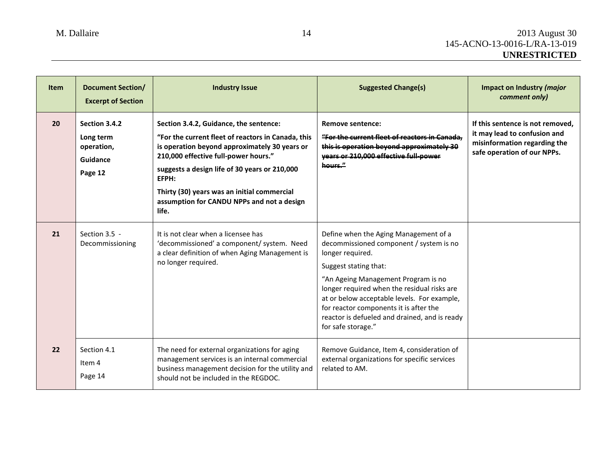| <b>Item</b> | <b>Document Section/</b><br><b>Excerpt of Section</b>           | <b>Industry Issue</b>                                                                                                                                                                                                                                                                                                                                 | <b>Suggested Change(s)</b>                                                                                                                                                                                                                                                                                                                                                          | Impact on Industry (major<br>comment only)                                                                                      |
|-------------|-----------------------------------------------------------------|-------------------------------------------------------------------------------------------------------------------------------------------------------------------------------------------------------------------------------------------------------------------------------------------------------------------------------------------------------|-------------------------------------------------------------------------------------------------------------------------------------------------------------------------------------------------------------------------------------------------------------------------------------------------------------------------------------------------------------------------------------|---------------------------------------------------------------------------------------------------------------------------------|
| 20          | Section 3.4.2<br>Long term<br>operation,<br>Guidance<br>Page 12 | Section 3.4.2, Guidance, the sentence:<br>"For the current fleet of reactors in Canada, this<br>is operation beyond approximately 30 years or<br>210,000 effective full-power hours."<br>suggests a design life of 30 years or 210,000<br>EFPH:<br>Thirty (30) years was an initial commercial<br>assumption for CANDU NPPs and not a design<br>life. | <b>Remove sentence:</b><br>"For the current fleet of reactors in Canada.<br>this is operation beyond approximately 30<br>years or 210,000 effective full-power<br>hours."                                                                                                                                                                                                           | If this sentence is not removed.<br>it may lead to confusion and<br>misinformation regarding the<br>safe operation of our NPPs. |
| 21          | Section 3.5 -<br>Decommissioning                                | It is not clear when a licensee has<br>'decommissioned' a component/ system. Need<br>a clear definition of when Aging Management is<br>no longer required.                                                                                                                                                                                            | Define when the Aging Management of a<br>decommissioned component / system is no<br>longer required.<br>Suggest stating that:<br>"An Ageing Management Program is no<br>longer required when the residual risks are<br>at or below acceptable levels. For example,<br>for reactor components it is after the<br>reactor is defueled and drained, and is ready<br>for safe storage." |                                                                                                                                 |
| 22          | Section 4.1<br>ltem 4<br>Page 14                                | The need for external organizations for aging<br>management services is an internal commercial<br>business management decision for the utility and<br>should not be included in the REGDOC.                                                                                                                                                           | Remove Guidance, Item 4, consideration of<br>external organizations for specific services<br>related to AM.                                                                                                                                                                                                                                                                         |                                                                                                                                 |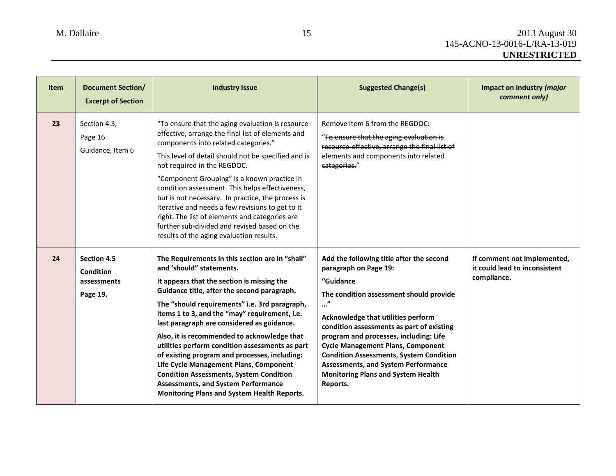| <b>Item</b> | <b>Document Section/</b><br><b>Excerpt of Section</b>      | <b>Industry Issue</b>                                                                                                                                                                                                                                                                                                                                                                                                                                                                                                                                                                                                                                                | <b>Suggested Change(s)</b>                                                                                                                                                                                                                                                                                                                                                                                                                                       | Impact on Industry (major<br>comment only)                                  |
|-------------|------------------------------------------------------------|----------------------------------------------------------------------------------------------------------------------------------------------------------------------------------------------------------------------------------------------------------------------------------------------------------------------------------------------------------------------------------------------------------------------------------------------------------------------------------------------------------------------------------------------------------------------------------------------------------------------------------------------------------------------|------------------------------------------------------------------------------------------------------------------------------------------------------------------------------------------------------------------------------------------------------------------------------------------------------------------------------------------------------------------------------------------------------------------------------------------------------------------|-----------------------------------------------------------------------------|
| 23          | Section 4.3,<br>Page 16<br>Guidance, Item 6                | "To ensure that the aging evaluation is resource-<br>effective, arrange the final list of elements and<br>components into related categories."<br>This level of detail should not be specified and is<br>not required in the REGDOC.<br>"Component Grouping" is a known practice in<br>condition assessment. This helps effectiveness,<br>but is not necessary. In practice, the process is<br>iterative and needs a few revisions to get to it<br>right. The list of elements and categories are<br>further sub-divided and revised based on the<br>results of the aging evaluation results.                                                                        | Remove item 6 from the REGDOC:<br>"To ensure that the aging evaluation is<br>resource-effective, arrange the final list of<br>elements and components into related<br>categories."                                                                                                                                                                                                                                                                               |                                                                             |
| 24          | <b>Section 4.5</b><br>Condition<br>assessments<br>Page 19. | The Requirements in this section are in "shall"<br>and 'should" statements.<br>It appears that the section is missing the<br>Guidance title, after the second paragraph.<br>The "should requirements" i.e. 3rd paragraph,<br>items 1 to 3, and the "may" requirement, i.e.<br>last paragraph are considered as guidance.<br>Also, it is recommended to acknowledge that<br>utilities perform condition assessments as part<br>of existing program and processes, including:<br>Life Cycle Management Plans, Component<br><b>Condition Assessments, System Condition</b><br><b>Assessments, and System Performance</b><br>Monitoring Plans and System Health Reports. | Add the following title after the second<br>paragraph on Page 19:<br>"Guidance<br>The condition assessment should provide<br>"<br>Acknowledge that utilities perform<br>condition assessments as part of existing<br>program and processes, including: Life<br><b>Cycle Management Plans, Component</b><br><b>Condition Assessments, System Condition</b><br><b>Assessments, and System Performance</b><br><b>Monitoring Plans and System Health</b><br>Reports. | If comment not implemented,<br>it could lead to inconsistent<br>compliance. |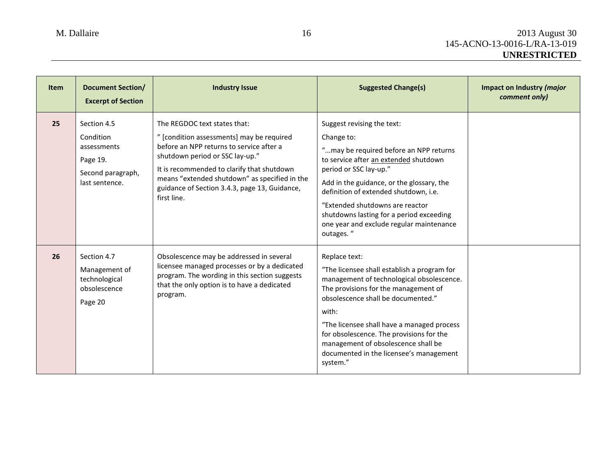| <b>Item</b> | <b>Document Section/</b><br><b>Excerpt of Section</b>                                      | <b>Industry Issue</b>                                                                                                                                                                                                                                                                                                   | <b>Suggested Change(s)</b>                                                                                                                                                                                                                                                                                                                                                               | Impact on Industry (major<br>comment only) |
|-------------|--------------------------------------------------------------------------------------------|-------------------------------------------------------------------------------------------------------------------------------------------------------------------------------------------------------------------------------------------------------------------------------------------------------------------------|------------------------------------------------------------------------------------------------------------------------------------------------------------------------------------------------------------------------------------------------------------------------------------------------------------------------------------------------------------------------------------------|--------------------------------------------|
| 25          | Section 4.5<br>Condition<br>assessments<br>Page 19.<br>Second paragraph,<br>last sentence. | The REGDOC text states that:<br>" [condition assessments] may be required<br>before an NPP returns to service after a<br>shutdown period or SSC lay-up."<br>It is recommended to clarify that shutdown<br>means "extended shutdown" as specified in the<br>guidance of Section 3.4.3, page 13, Guidance,<br>first line. | Suggest revising the text:<br>Change to:<br>"may be required before an NPP returns<br>to service after an extended shutdown<br>period or SSC lay-up."<br>Add in the guidance, or the glossary, the<br>definition of extended shutdown, i.e.<br>"Extended shutdowns are reactor<br>shutdowns lasting for a period exceeding<br>one year and exclude regular maintenance<br>outages."      |                                            |
| 26          | Section 4.7<br>Management of<br>technological<br>obsolescence<br>Page 20                   | Obsolescence may be addressed in several<br>licensee managed processes or by a dedicated<br>program. The wording in this section suggests<br>that the only option is to have a dedicated<br>program.                                                                                                                    | Replace text:<br>"The licensee shall establish a program for<br>management of technological obsolescence.<br>The provisions for the management of<br>obsolescence shall be documented."<br>with:<br>"The licensee shall have a managed process<br>for obsolescence. The provisions for the<br>management of obsolescence shall be<br>documented in the licensee's management<br>system." |                                            |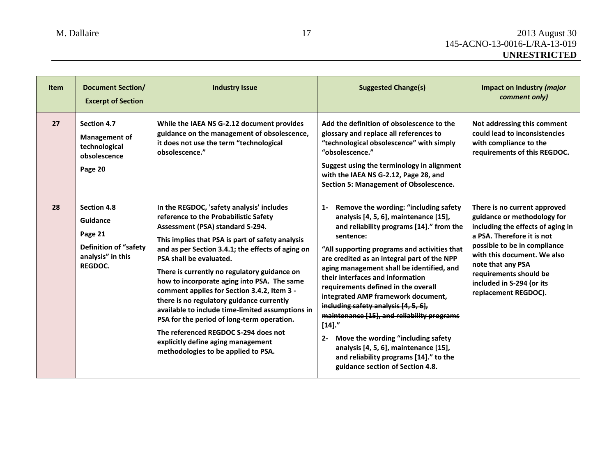| <b>Item</b> | <b>Document Section/</b><br><b>Excerpt of Section</b>                                                     | <b>Industry Issue</b>                                                                                                                                                                                                                                                                                                                                                                                                                                                                                                                                                                                                                                                        | <b>Suggested Change(s)</b>                                                                                                                                                                                                                                                                                                                                                                                                                                                                                                                                                                                                                                                       | Impact on Industry (major<br>comment only)                                                                                                                                                                                                                                                        |
|-------------|-----------------------------------------------------------------------------------------------------------|------------------------------------------------------------------------------------------------------------------------------------------------------------------------------------------------------------------------------------------------------------------------------------------------------------------------------------------------------------------------------------------------------------------------------------------------------------------------------------------------------------------------------------------------------------------------------------------------------------------------------------------------------------------------------|----------------------------------------------------------------------------------------------------------------------------------------------------------------------------------------------------------------------------------------------------------------------------------------------------------------------------------------------------------------------------------------------------------------------------------------------------------------------------------------------------------------------------------------------------------------------------------------------------------------------------------------------------------------------------------|---------------------------------------------------------------------------------------------------------------------------------------------------------------------------------------------------------------------------------------------------------------------------------------------------|
| 27          | <b>Section 4.7</b><br><b>Management of</b><br>technological<br>obsolescence<br>Page 20                    | While the IAEA NS G-2.12 document provides<br>guidance on the management of obsolescence,<br>it does not use the term "technological<br>obsolescence."                                                                                                                                                                                                                                                                                                                                                                                                                                                                                                                       | Add the definition of obsolescence to the<br>glossary and replace all references to<br>"technological obsolescence" with simply<br>"obsolescence."<br>Suggest using the terminology in alignment<br>with the IAEA NS G-2.12, Page 28, and<br>Section 5: Management of Obsolescence.                                                                                                                                                                                                                                                                                                                                                                                              | Not addressing this comment<br>could lead to inconsistencies<br>with compliance to the<br>requirements of this REGDOC.                                                                                                                                                                            |
| 28          | <b>Section 4.8</b><br>Guidance<br>Page 21<br><b>Definition of "safety</b><br>analysis" in this<br>REGDOC. | In the REGDOC, 'safety analysis' includes<br>reference to the Probabilistic Safety<br>Assessment (PSA) standard S-294.<br>This implies that PSA is part of safety analysis<br>and as per Section 3.4.1; the effects of aging on<br>PSA shall be evaluated.<br>There is currently no regulatory guidance on<br>how to incorporate aging into PSA. The same<br>comment applies for Section 3.4.2, Item 3 -<br>there is no regulatory guidance currently<br>available to include time-limited assumptions in<br>PSA for the period of long-term operation.<br>The referenced REGDOC S-294 does not<br>explicitly define aging management<br>methodologies to be applied to PSA. | 1- Remove the wording: "including safety<br>analysis [4, 5, 6], maintenance [15],<br>and reliability programs [14]." from the<br>sentence:<br>"All supporting programs and activities that<br>are credited as an integral part of the NPP<br>aging management shall be identified, and<br>their interfaces and information<br>requirements defined in the overall<br>integrated AMP framework document,<br>including safety analysis [4, 5, 6],<br>maintenance [15], and reliability programs<br>$[14]$ ."<br>Move the wording "including safety<br>$2 -$<br>analysis [4, 5, 6], maintenance [15],<br>and reliability programs [14]." to the<br>guidance section of Section 4.8. | There is no current approved<br>guidance or methodology for<br>including the effects of aging in<br>a PSA. Therefore it is not<br>possible to be in compliance<br>with this document. We also<br>note that any PSA<br>requirements should be<br>included in S-294 (or its<br>replacement REGDOC). |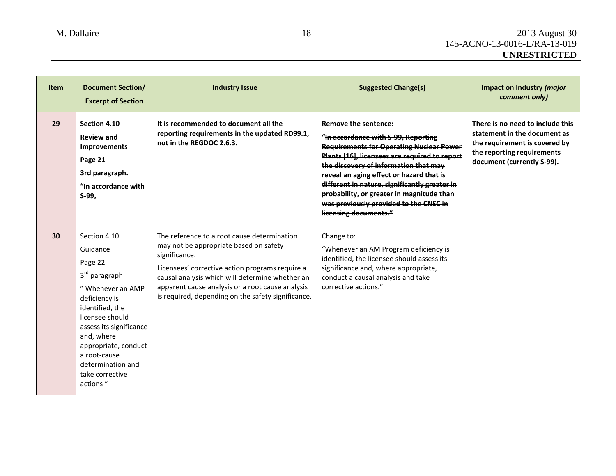| <b>Item</b> | <b>Document Section/</b><br><b>Excerpt of Section</b>                                                                                                                                                                                                                              | <b>Industry Issue</b>                                                                                                                                                                                                                                                                                                  | <b>Suggested Change(s)</b>                                                                                                                                                                                                                                                                                                                                                                                                   | Impact on Industry (major<br>comment only)                                                                                                                    |
|-------------|------------------------------------------------------------------------------------------------------------------------------------------------------------------------------------------------------------------------------------------------------------------------------------|------------------------------------------------------------------------------------------------------------------------------------------------------------------------------------------------------------------------------------------------------------------------------------------------------------------------|------------------------------------------------------------------------------------------------------------------------------------------------------------------------------------------------------------------------------------------------------------------------------------------------------------------------------------------------------------------------------------------------------------------------------|---------------------------------------------------------------------------------------------------------------------------------------------------------------|
| 29          | Section 4.10<br><b>Review and</b><br><b>Improvements</b><br>Page 21<br>3rd paragraph.<br>"In accordance with<br>S-99,                                                                                                                                                              | It is recommended to document all the<br>reporting requirements in the updated RD99.1,<br>not in the REGDOC 2.6.3.                                                                                                                                                                                                     | <b>Remove the sentence:</b><br>"In accordance with S-99, Reporting<br><b>Requirements for Operating Nuclear Power</b><br>Plants [16], licensees are required to report<br>the discovery of information that may<br>reveal an aging effect or hazard that is<br>different in nature, significantly greater in<br>probability, or greater in magnitude than<br>was previously provided to the CNSC in<br>licensing documents." | There is no need to include this<br>statement in the document as<br>the requirement is covered by<br>the reporting requirements<br>document (currently S-99). |
| 30          | Section 4.10<br>Guidance<br>Page 22<br>3 <sup>rd</sup> paragraph<br>" Whenever an AMP<br>deficiency is<br>identified, the<br>licensee should<br>assess its significance<br>and, where<br>appropriate, conduct<br>a root-cause<br>determination and<br>take corrective<br>actions " | The reference to a root cause determination<br>may not be appropriate based on safety<br>significance.<br>Licensees' corrective action programs require a<br>causal analysis which will determine whether an<br>apparent cause analysis or a root cause analysis<br>is required, depending on the safety significance. | Change to:<br>"Whenever an AM Program deficiency is<br>identified, the licensee should assess its<br>significance and, where appropriate,<br>conduct a causal analysis and take<br>corrective actions."                                                                                                                                                                                                                      |                                                                                                                                                               |